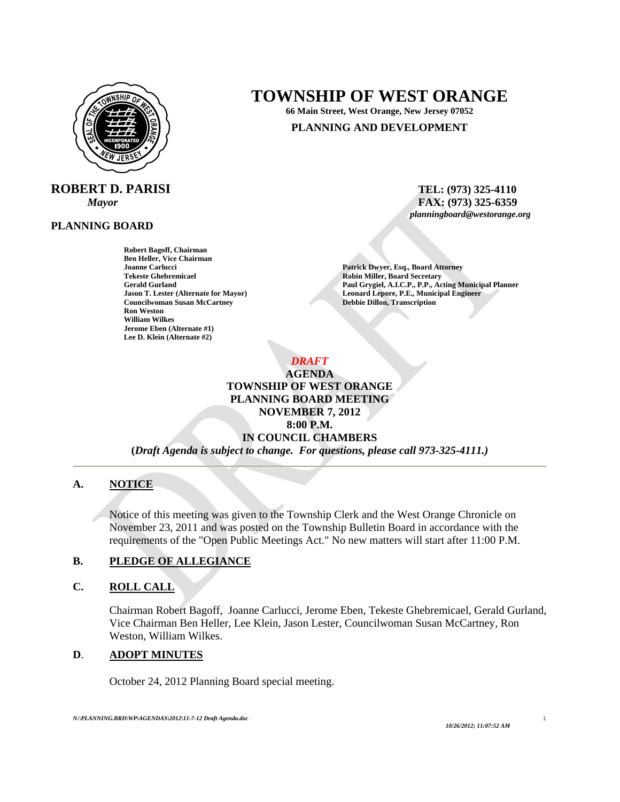

**ROBERT D. PARISI** TEL: (973) 325-4110

#### **PLANNING BOARD**

**Robert Bagoff, Chairman Ben Heller, Vice Chairman Joanne Carlucci Patrick Dwyer, Esq., Board Attorney Patrick Dwyer, Esq., Board Attorney Patrick Dwyer, Patrick Dwyer, Esq., Board Attorney Patrick Dwyer, Esq., Board Attorney Patrick Dwyer, Esq., Board Attorney Patrick Dw Councilwoman Susan McCartney Ron Weston Ron Weston William Wilkes Jerome Eben (Alternate #1) Lee D. Klein (Alternate #2)** 

# **TOWNSHIP OF WEST ORANGE**

**66 Main Street, West Orange, New Jersey 07052** 

## **PLANNING AND DEVELOPMENT**

*Mayor* **and** *FAX***: (973) 325-6359** *<b>FAX: (973) 325-6359 <i>planningboard@westorange.org*

**Robin Miller, Board Secretary** Gerald Gurland **Gurland Paul Grygiel, A.I.C.P., P.P., Acting Municipal Planner**<br> **Paul Grygiel, A.I.C.P., P.P., Acting Municipal Planner**<br> **Paul Grygiel, A.I.C.P., P.P., Acting Municipal Planner Leonard Lepore, P.E., Municipal Engineer Debbie Dillon, Transcription** 

*DRAFT* 

**AGENDA TOWNSHIP OF WEST ORANGE PLANNING BOARD MEETING NOVEMBER 7, 2012 8:00 P.M. IN COUNCIL CHAMBERS (***Draft Agenda is subject to change. For questions, please call 973-325-4111.)*

## **A. NOTICE**

Notice of this meeting was given to the Township Clerk and the West Orange Chronicle on November 23, 2011 and was posted on the Township Bulletin Board in accordance with the requirements of the "Open Public Meetings Act." No new matters will start after 11:00 P.M.

#### **B. PLEDGE OF ALLEGIANCE**

#### **C. ROLL CALL**

Chairman Robert Bagoff, Joanne Carlucci, Jerome Eben, Tekeste Ghebremicael, Gerald Gurland, Vice Chairman Ben Heller, Lee Klein, Jason Lester, Councilwoman Susan McCartney, Ron Weston, William Wilkes.

## **D**. **ADOPT MINUTES**

October 24, 2012 Planning Board special meeting.